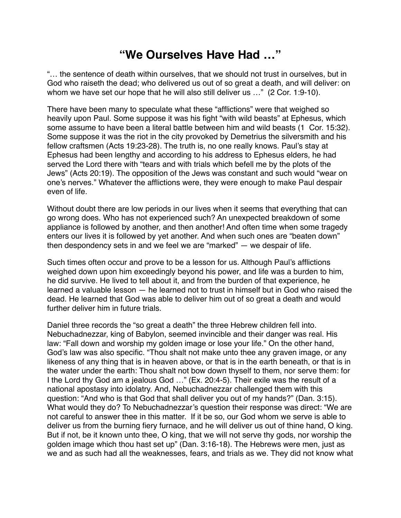## **"We Ourselves Have Had …"**

"… the sentence of death within ourselves, that we should not trust in ourselves, but in God who raiseth the dead; who delivered us out of so great a death, and will deliver: on whom we have set our hope that he will also still deliver us ..." (2 Cor. 1:9-10).

There have been many to speculate what these "afflictions" were that weighed so heavily upon Paul. Some suppose it was his fight "with wild beasts" at Ephesus, which some assume to have been a literal battle between him and wild beasts (1 Cor. 15:32). Some suppose it was the riot in the city provoked by Demetrius the silversmith and his fellow craftsmen (Acts 19:23-28). The truth is, no one really knows. Paul's stay at Ephesus had been lengthy and according to his address to Ephesus elders, he had served the Lord there with "tears and with trials which befell me by the plots of the Jews" (Acts 20:19). The opposition of the Jews was constant and such would "wear on one's nerves." Whatever the afflictions were, they were enough to make Paul despair even of life.

Without doubt there are low periods in our lives when it seems that everything that can go wrong does. Who has not experienced such? An unexpected breakdown of some appliance is followed by another, and then another! And often time when some tragedy enters our lives it is followed by yet another. And when such ones are "beaten down" then despondency sets in and we feel we are "marked" — we despair of life.

Such times often occur and prove to be a lesson for us. Although Paul's afflictions weighed down upon him exceedingly beyond his power, and life was a burden to him, he did survive. He lived to tell about it, and from the burden of that experience, he learned a valuable lesson — he learned not to trust in himself but in God who raised the dead. He learned that God was able to deliver him out of so great a death and would further deliver him in future trials.

Daniel three records the "so great a death" the three Hebrew children fell into. Nebuchadnezzar, king of Babylon, seemed invincible and their danger was real. His law: "Fall down and worship my golden image or lose your life." On the other hand, God's law was also specific. "Thou shalt not make unto thee any graven image, or any likeness of any thing that is in heaven above, or that is in the earth beneath, or that is in the water under the earth: Thou shalt not bow down thyself to them, nor serve them: for I the Lord thy God am a jealous God …" (Ex. 20:4-5). Their exile was the result of a national apostasy into idolatry. And, Nebuchadnezzar challenged them with this question: "And who is that God that shall deliver you out of my hands?" (Dan. 3:15). What would they do? To Nebuchadnezzar's question their response was direct: "We are not careful to answer thee in this matter. If it be so, our God whom we serve is able to deliver us from the burning fiery furnace, and he will deliver us out of thine hand, O king. But if not, be it known unto thee, O king, that we will not serve thy gods, nor worship the golden image which thou hast set up" (Dan. 3:16-18). The Hebrews were men, just as we and as such had all the weaknesses, fears, and trials as we. They did not know what